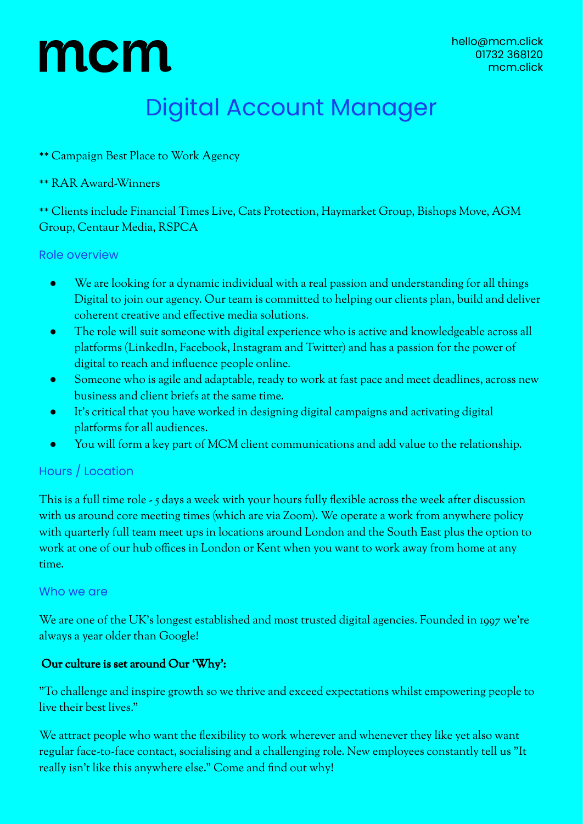# mcm

# Digital Account Manager

### \*\* Campaign Best Place to Work Agency

#### \*\* RAR Award-Winners

\*\* Clients include Financial Times Live, Cats Protection, Haymarket Group, Bishops Move, AGM Group, Centaur Media, RSPCA

#### Role overview

- We are looking for a dynamic individual with a real passion and understanding for all things Digital to join our agency. Our team is committed to helping our clients plan, build and deliver coherent creative and effective media solutions.
- The role will suit someone with digital experience who is active and knowledgeable across all platforms (LinkedIn, Facebook, Instagram and Twitter) and has a passion for the power of digital to reach and influence people online.
- Someone who is agile and adaptable, ready to work at fast pace and meet deadlines, across new business and client briefs at the same time.
- It's critical that you have worked in designing digital campaigns and activating digital platforms for all audiences.
- You will form a key part of MCM client communications and add value to the relationship.

## Hours / Location

This is a full time role - 5 days a week with your hours fully flexible across the week after discussion with us around core meeting times (which are via Zoom). We operate a work from anywhere policy with quarterly full team meet ups in locations around London and the South East plus the option to work at one of our hub offices in London or Kent when you want to work away from home at any time.

#### Who we are

We are one of the UK's longest established and most trusted digital agencies. Founded in 1997 we're always a year older than Google!

### Our culture is set around Our 'Why':

"To challenge and inspire growth so we thrive and exceed expectations whilst empowering people to live their best lives."

We attract people who want the flexibility to work wherever and whenever they like yet also want regular face-to-face contact, socialising and a challenging role. New employees constantly tell us "It really isn't like this anywhere else." Come and find out why!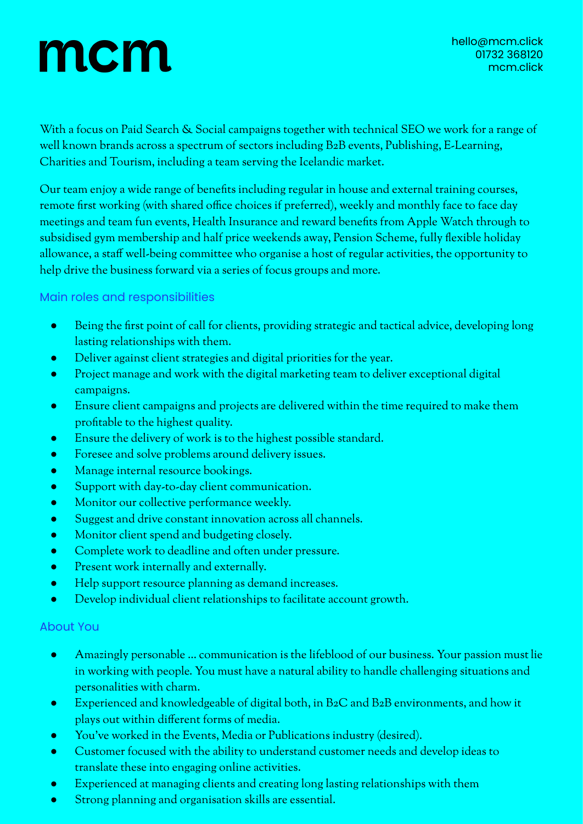# mcm

With a focus on Paid Search & Social campaigns together with technical SEO we work for a range of well known brands across a spectrum of sectors including B2B events, Publishing, E-Learning, Charities and Tourism, including a team serving the Icelandic market.

Our team enjoy a wide range of benefits including regular in house and external training courses, remote first working (with shared office choices if preferred), weekly and monthly face to face day meetings and team fun events, Health Insurance and reward benefits from Apple Watch through to subsidised gym membership and half price weekends away, Pension Scheme, fully flexible holiday allowance, a staff well-being committee who organise a host of regular activities, the opportunity to help drive the business forward via a series of focus groups and more.

### Main roles and responsibilities

- Being the first point of call for clients, providing strategic and tactical advice, developing long lasting relationships with them.
- Deliver against client strategies and digital priorities for the year.
- Project manage and work with the digital marketing team to deliver exceptional digital campaigns.
- Ensure client campaigns and projects are delivered within the time required to make them profitable to the highest quality.
- Ensure the delivery of work is to the highest possible standard.
- Foresee and solve problems around delivery issues.
- Manage internal resource bookings.
- Support with day-to-day client communication.
- Monitor our collective performance weekly.
- Suggest and drive constant innovation across all channels.
- Monitor client spend and budgeting closely.
- Complete work to deadline and often under pressure.
- **•** Present work internally and externally.
- Help support resource planning as demand increases.
- Develop individual client relationships to facilitate account growth.

#### About You

- Amazingly personable … communication is the lifeblood of our business. Your passion must lie in working with people. You must have a natural ability to handle challenging situations and personalities with charm.
- Experienced and knowledgeable of digital both, in B2C and B2B environments, and how it plays out within different forms of media.
- You've worked in the Events, Media or Publications industry (desired).
- Customer focused with the ability to understand customer needs and develop ideas to translate these into engaging online activities.
- Experienced at managing clients and creating long lasting relationships with them
- Strong planning and organisation skills are essential.